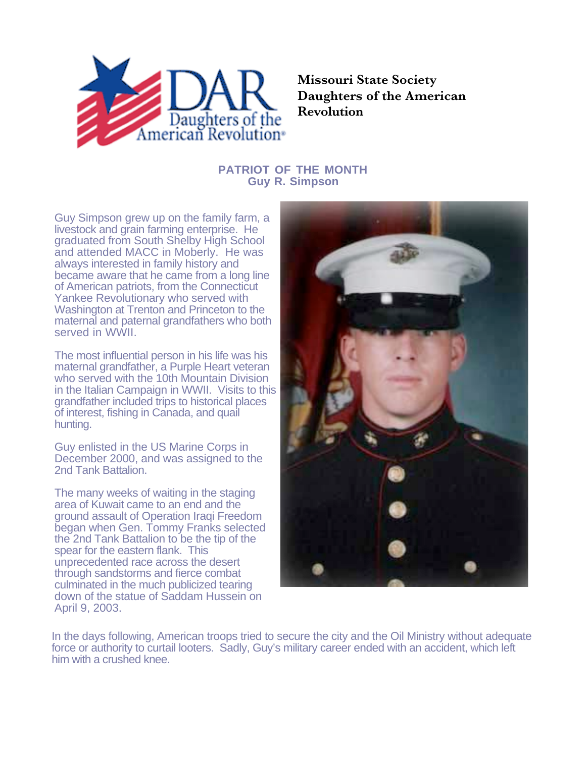

**Missouri State Society Daughters of the American Revolution**

## **PATRIOT OF THE MONTH Guy R. Simpson**

Guy Simpson grew up on the family farm, a livestock and grain farming enterprise. He graduated from South Shelby High School and attended MACC in Moberly. He was always interested in family history and became aware that he came from a long line of American patriots, from the Connecticut Yankee Revolutionary who served with Washington at Trenton and Princeton to the maternal and paternal grandfathers who both served in WWII.

The most influential person in his life was his maternal grandfather, a Purple Heart veteran who served with the 10th Mountain Division in the Italian Campaign in WWII. Visits to this grandfather included trips to historical places of interest, fishing in Canada, and quail hunting.

Guy enlisted in the US Marine Corps in December 2000, and was assigned to the 2nd Tank Battalion.

The many weeks of waiting in the staging area of Kuwait came to an end and the ground assault of Operation Iraqi Freedom began when Gen. Tommy Franks selected the 2nd Tank Battalion to be the tip of the spear for the eastern flank. This unprecedented race across the desert through sandstorms and fierce combat culminated in the much publicized tearing down of the statue of Saddam Hussein on April 9, 2003.



In the days following, American troops tried to secure the city and the Oil Ministry without adequate force or authority to curtail looters. Sadly, Guy's military career ended with an accident, which left him with a crushed knee.